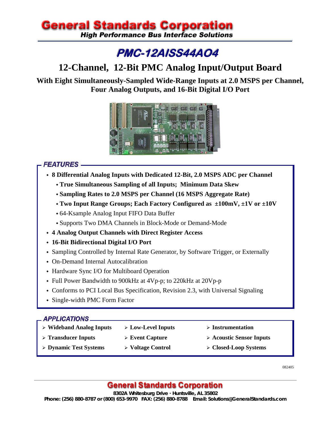# **General Standards Corporation**

**High Performance Bus Interface Solutions** 

# **PMC-12AISS44A04**

# **12-Channel, 12-Bit PMC Analog Input/Output Board**

**With Eight Simultaneously-Sampled Wide-Range Inputs at 2.0 MSPS per Channel, Four Analog Outputs, and 16-Bit Digital I/O Port** 



# **FEATURES -**

- **8 Differential Analog Inputs with Dedicated 12-Bit, 2.0 MSPS ADC per Channel** 
	- **True Simultaneous Sampling of all Inputs; Minimum Data Skew**
	- **Sampling Rates to 2.0 MSPS per Channel (16 MSPS Aggregate Rate)**
	- **Two Input Range Groups; Each Factory Configured as ±100mV, ±1V or ±10V**
	- 64-Ksample Analog Input FIFO Data Buffer
	- Supports Two DMA Channels in Block-Mode or Demand-Mode
- **4 Analog Output Channels with Direct Register Access**
- **16-Bit Bidirectional Digital I/O Port**
- Sampling Controlled by Internal Rate Generator, by Software Trigger, or Externally
- On-Demand Internal Autocalibration
- Hardware Sync I/O for Multiboard Operation
- Full Power Bandwidth to 900kHz at 4Vp-p; to 220kHz at 20Vp-p
- Conforms to PCI Local Bus Specification, Revision 2.3, with Universal Signaling
- Single-width PMC Form Factor

#### **APPLICATIONS\_**

- ¾ **Wideband Analog Inputs** ¾ **Low-Level Inputs** ¾ **Instrumentation** 
	-
	-
- -
- 
- ¾ **Transducer Inputs** ¾ **Event Capture** ¾ **Acoustic Sensor Inputs**
- 
- 
- ¾ **Dynamic Test Systems** ¾ **Voltage Control** ¾ **Closed-Loop Systems**

082405

# **General Standards Corporation**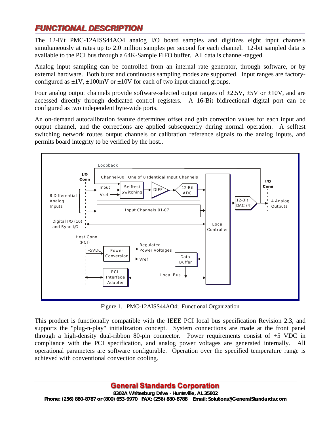# FUNCTIONAL DESCRIPTION

The 12-Bit PMC-12AISS44AO4 analog I/O board samples and digitizes eight input channels simultaneously at rates up to 2.0 million samples per second for each channel. 12-bit sampled data is available to the PCI bus through a 64K-Sample FIFO buffer. All data is channel-tagged.

Analog input sampling can be controlled from an internal rate generator, through software, or by external hardware. Both burst and continuous sampling modes are supported. Input ranges are factoryconfigured as  $\pm 1V$ ,  $\pm 100$ mV or  $\pm 10V$  for each of two input channel groups.

Four analog output channels provide software-selected output ranges of  $\pm 2.5V$ ,  $\pm 5V$  or  $\pm 10V$ , and are accessed directly through dedicated control registers. A 16-Bit bidirectional digital port can be configured as two independent byte-wide ports.

An on-demand autocalibration feature determines offset and gain correction values for each input and output channel, and the corrections are applied subsequently during normal operation. A selftest switching network routes output channels or calibration reference signals to the analog inputs, and permits board integrity to be verified by the host..



Figure 1. PMC-12AISS44AO4; Functional Organization

This product is functionally compatible with the IEEE PCI local bus specification Revision 2.3, and supports the "plug-n-play" initialization concept. System connections are made at the front panel through a high-density dual-ribbon 80-pin connector. Power requirements consist of +5 VDC in compliance with the PCI specification, and analog power voltages are generated internally. All operational parameters are software configurable. Operation over the specified temperature range is achieved with conventional convection cooling.

## **General Standards Corporation**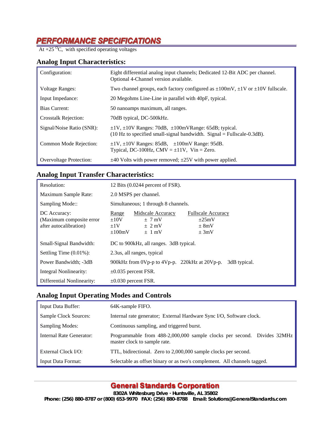# **PERFORMANCE SPECIFICATIONS**<br> $\frac{\text{AER} + 25 \,^0\text{C}}{\text{At} + 25 \,^0\text{C}}$ , with specified operating voltages

#### **Analog Input Characteristics:**

| Configuration:                 | Eight differential analog input channels; Dedicated 12-Bit ADC per channel.<br>Optional 4-Channel version available.                                    |
|--------------------------------|---------------------------------------------------------------------------------------------------------------------------------------------------------|
| <b>Voltage Ranges:</b>         | Two channel groups, each factory configured as $\pm 100$ mV, $\pm 1V$ or $\pm 10V$ fullscale.                                                           |
| Input Impedance:               | 20 Megohms Line-Line in parallel with 40pF, typical.                                                                                                    |
| Bias Current:                  | 50 nanoamps maximum, all ranges.                                                                                                                        |
| <b>Crosstalk Rejection:</b>    | 70dB typical, DC-500kHz.                                                                                                                                |
| Signal/Noise Ratio (SNR):      | $\pm$ 1V, $\pm$ 10V Ranges: 70dB, $\pm$ 100mVRange: 65dB; typical.<br>$(10 \text{ Hz})$ to specified small-signal bandwidth. Signal = Fullscale-0.3dB). |
| Common Mode Rejection:         | $\pm$ 1V, $\pm$ 10V Ranges: 85dB, $\pm$ 100mV Range: 95dB.<br>Typical, DC-100Hz, CMV = $\pm$ 11V, Vin = Zero.                                           |
| <b>Overvoltage Protection:</b> | $\pm$ 40 Volts with power removed; $\pm$ 25V with power applied.                                                                                        |

### **Analog Input Transfer Characteristics:**

| Resolution:                                                         | 12 Bits (0.0244 percent of FSR).                                                                                                                                                 |  |  |
|---------------------------------------------------------------------|----------------------------------------------------------------------------------------------------------------------------------------------------------------------------------|--|--|
| Maximum Sample Rate:                                                | 2.0 MSPS per channel.                                                                                                                                                            |  |  |
| Sampling Mode::                                                     | Simultaneous; 1 through 8 channels.                                                                                                                                              |  |  |
| DC Accuracy:<br>(Maximum composite error)<br>after autocalibration) | Midscale Accuracy<br><b>Fullscale Accuracy</b><br>Range<br>$\pm 10V$<br>$\pm 25$ mV<br>$\pm$ 7 mV<br>$+1V$<br>$\pm$ 2 mV<br>$\pm 8mV$<br>$\pm 100$ mV<br>$\pm 3mV$<br>$\pm$ 1 mV |  |  |
| Small-Signal Bandwidth:                                             | DC to 900kHz, all ranges. 3dB typical.                                                                                                                                           |  |  |
| Settling Time $(0.01\%)$ :                                          | 2.3 us, all ranges, typical                                                                                                                                                      |  |  |
| Power Bandwidth; -3dB                                               | 900kHz from 0Vp-p to 4Vp-p. 220kHz at 20Vp-p. 3dB typical.                                                                                                                       |  |  |
| Integral Nonlinearity:                                              | $\pm 0.035$ percent FSR.                                                                                                                                                         |  |  |
| Differential Nonlinearity:                                          | $\pm 0.030$ percent FSR.                                                                                                                                                         |  |  |

#### **Analog Input Operating Modes and Controls**

| <b>Input Data Buffer:</b>    | 64K-sample FIFO.                                                                                        |
|------------------------------|---------------------------------------------------------------------------------------------------------|
| <b>Sample Clock Sources:</b> | Internal rate generator; External Hardware Sync I/O, Software clock.                                    |
| <b>Sampling Modes:</b>       | Continuous sampling, and triggered burst.                                                               |
| Internal Rate Generator:     | Programmable from 488-2,000,000 sample clocks per second. Divides 32MHz<br>master clock to sample rate. |
| External Clock I/O:          | TTL, bidirectional. Zero to 2,000,000 sample clocks per second.                                         |
| Input Data Format:           | Selectable as offset binary or as two's complement. All channels tagged.                                |

## **General Standards Corporation**

**8302A Whitesburg Drive · Huntsville, AL 35802** 

**Phone: (256) 880-8787 or (800) 653-9970 FAX: (256) 880-8788 Email: Solutions@GeneralStandards.com**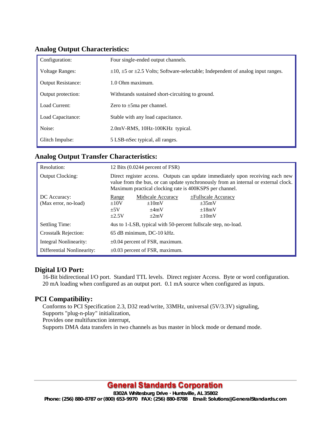| Configuration:            | Four single-ended output channels.                                                              |
|---------------------------|-------------------------------------------------------------------------------------------------|
| <b>Voltage Ranges:</b>    | $\pm 10$ , $\pm 5$ or $\pm 2.5$ Volts; Software-selectable; Independent of analog input ranges. |
| <b>Output Resistance:</b> | 1.0 Ohm maximum.                                                                                |
| Output protection:        | Withstands sustained short-circuiting to ground.                                                |
| Load Current:             | Zero to $\pm 5$ ma per channel.                                                                 |
| Load Capacitance:         | Stable with any load capacitance.                                                               |
| Noise:                    | 2.0mV-RMS, 10Hz-100KHz typical.                                                                 |
| Glitch Impulse:           | 5 LSB-nSec typical, all ranges.                                                                 |

#### **Analog Output Characteristics:**

#### **Analog Output Transfer Characteristics:**

| Resolution:                          | 12 Bits (0.0244 percent of FSR)                                                                                                                                                                                                  |                                                            |                                                                              |
|--------------------------------------|----------------------------------------------------------------------------------------------------------------------------------------------------------------------------------------------------------------------------------|------------------------------------------------------------|------------------------------------------------------------------------------|
| <b>Output Clocking:</b>              | Direct register access. Outputs can update immediately upon receiving each new<br>value from the bus, or can update synchronously from an internal or external clock.<br>Maximum practical clocking rate is 400KSPS per channel. |                                                            |                                                                              |
| DC Accuracy:<br>(Max error, no-load) | Range<br>$\pm 10V$<br>$+5V$<br>$\pm 2.5V$                                                                                                                                                                                        | Midscale Accuracy<br>$\pm 10$ mV<br>$\pm 4mV$<br>$\pm 2mV$ | $\pm$ Fullscale Accuracy<br>$\pm 35 \text{mV}$<br>$\pm 18$ mV<br>$\pm 10$ mV |
| Settling Time:                       | 4us to 1-LSB, typical with 50-percent fullscale step, no-load.                                                                                                                                                                   |                                                            |                                                                              |
| <b>Crosstalk Rejection:</b>          | 65 dB minimum, DC-10 kHz.                                                                                                                                                                                                        |                                                            |                                                                              |
| Integral Nonlinearity:               | $\pm 0.04$ percent of FSR, maximum.                                                                                                                                                                                              |                                                            |                                                                              |
| Differential Nonlinearity:           | $\pm 0.03$ percent of FSR, maximum.                                                                                                                                                                                              |                                                            |                                                                              |

#### **Digital I/O Port:**

16-Bit bidirectional I/O port. Standard TTL levels. Direct register Access. Byte or word configuration. 20 mA loading when configured as an output port. 0.1 mA source when configured as inputs.

#### **PCI Compatibility:**

Conforms to PCI Specification 2.3, D32 read/write, 33MHz, universal (5V/3.3V) signaling, Supports "plug-n-play" initialization, Provides one multifunction interrupt, Supports DMA data transfers in two channels as bus master in block mode or demand mode.

# **General Standards Corporation**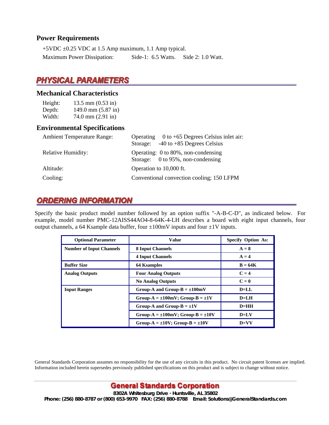#### **Power Requirements**

+5VDC ±0.25 VDC at 1.5 Amp maximum, 1.1 Amp typical. Maximum Power Dissipation: Side-1: 6.5 Watts. Side 2: 1.0 Watt.

# PHYSICAL PARAMETERS

#### **Mechanical Characteristics**

| Height: | $13.5$ mm $(0.53$ in)  |
|---------|------------------------|
| Depth:  | $149.0$ mm $(5.87$ in) |
| Width:  | $74.0$ mm $(2.91$ in)  |

#### **Environmental Specifications**

| <b>Ambient Temperature Range:</b> | Operating $0$ to +65 Degrees Celsius inlet air:                          |
|-----------------------------------|--------------------------------------------------------------------------|
|                                   | $-40$ to $+85$ Degrees Celsius<br>Storage:                               |
| <b>Relative Humidity:</b>         | Operating: 0 to 80%, non-condensing<br>Storage: 0 to 95%, non-condensing |
| Altitude:                         | Operation to 10,000 ft.                                                  |
| Cooling:                          | Conventional convection cooling; 150 LFPM                                |

# **ORDERING INFORMATION**

Specify the basic product model number followed by an option suffix "-A-B-C-D", as indicated below. For example, model number PMC-12AISS44AO4-8-64K-4-LH describes a board with eight input channels, four output channels, a 64 Ksample data buffer, four  $\pm 100$ mV inputs and four  $\pm 1$ V inputs.

| <b>Optional Parameter</b>       | <b>Value</b>                                 | <b>Specify Option As:</b> |
|---------------------------------|----------------------------------------------|---------------------------|
| <b>Number of Input Channels</b> | <b>8 Input Channels</b>                      | $A = 8$                   |
|                                 | <b>4 Input Channels</b>                      | $A = 4$                   |
| <b>Buffer Size</b>              | <b>64 Ksamples</b>                           | $B = 64K$                 |
| <b>Analog Outputs</b>           | <b>Four Analog Outputs</b>                   | $C = 4$                   |
|                                 | <b>No Analog Outputs</b>                     | $C=0$                     |
| <b>Input Ranges</b>             | Group-A and Group-B = $\pm 100$ mV           | $D=LI$                    |
|                                 | Group-A = $\pm 100$ mV; Group-B = $\pm 1V$   | $D=LI$                    |
|                                 | Group-A and Group-B = $\pm 1$ V              | $D=HH$                    |
|                                 | Group-A = $\pm 100$ mV; Group-B = $\pm 10$ V | $D=LV$                    |
|                                 | Group-A = $\pm 10V$ ; Group-B = $\pm 10V$    | $D=VV$                    |

General Standards Corporation assumes no responsibility for the use of any circuits in this product. No circuit patent licenses are implied. Information included herein supersedes previously published specifications on this product and is subject to change without notice.

## **General Standards Corporation**